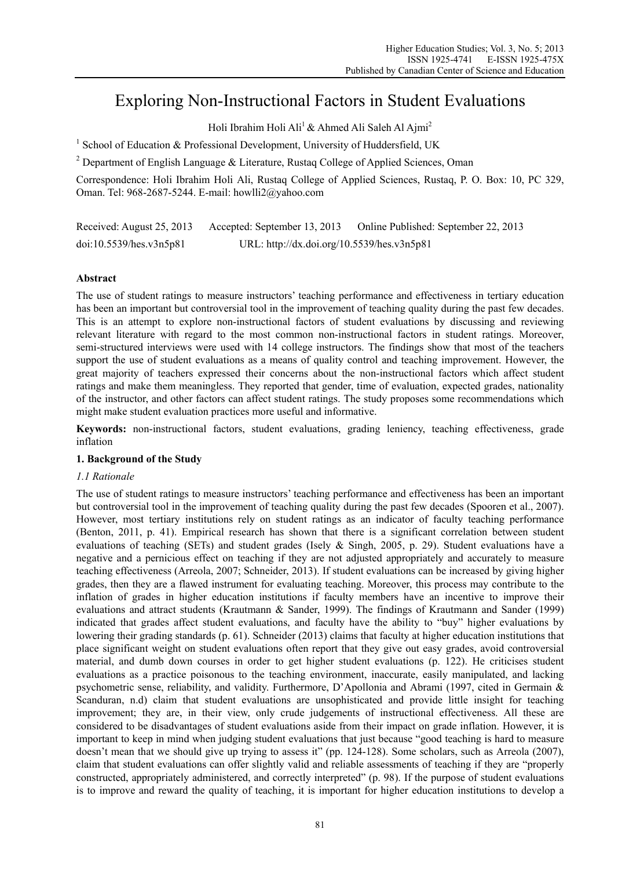# Exploring Non-Instructional Factors in Student Evaluations

Holi Ibrahim Holi Ali<sup>1</sup> & Ahmed Ali Saleh Al Ajmi<sup>2</sup>

<sup>1</sup> School of Education & Professional Development, University of Huddersfield, UK

<sup>2</sup> Department of English Language & Literature, Rustaq College of Applied Sciences, Oman

Correspondence: Holi Ibrahim Holi Ali, Rustaq College of Applied Sciences, Rustaq, P. O. Box: 10, PC 329, Oman. Tel: 968-2687-5244. E-mail: howlli2@yahoo.com

| Received: August 25, 2013 | Accepted: September 13, 2013               | Online Published: September 22, 2013 |
|---------------------------|--------------------------------------------|--------------------------------------|
| doi:10.5539/hes.v3n5p81   | URL: http://dx.doi.org/10.5539/hes.v3n5p81 |                                      |

# **Abstract**

The use of student ratings to measure instructors' teaching performance and effectiveness in tertiary education has been an important but controversial tool in the improvement of teaching quality during the past few decades. This is an attempt to explore non-instructional factors of student evaluations by discussing and reviewing relevant literature with regard to the most common non-instructional factors in student ratings. Moreover, semi-structured interviews were used with 14 college instructors. The findings show that most of the teachers support the use of student evaluations as a means of quality control and teaching improvement. However, the great majority of teachers expressed their concerns about the non-instructional factors which affect student ratings and make them meaningless. They reported that gender, time of evaluation, expected grades, nationality of the instructor, and other factors can affect student ratings. The study proposes some recommendations which might make student evaluation practices more useful and informative.

**Keywords:** non-instructional factors, student evaluations, grading leniency, teaching effectiveness, grade inflation

# **1. Background of the Study**

# *1.1 Rationale*

The use of student ratings to measure instructors' teaching performance and effectiveness has been an important but controversial tool in the improvement of teaching quality during the past few decades (Spooren et al., 2007). However, most tertiary institutions rely on student ratings as an indicator of faculty teaching performance (Benton, 2011, p. 41). Empirical research has shown that there is a significant correlation between student evaluations of teaching (SETs) and student grades (Isely & Singh, 2005, p. 29). Student evaluations have a negative and a pernicious effect on teaching if they are not adjusted appropriately and accurately to measure teaching effectiveness (Arreola, 2007; Schneider, 2013). If student evaluations can be increased by giving higher grades, then they are a flawed instrument for evaluating teaching. Moreover, this process may contribute to the inflation of grades in higher education institutions if faculty members have an incentive to improve their evaluations and attract students (Krautmann & Sander, 1999). The findings of Krautmann and Sander (1999) indicated that grades affect student evaluations, and faculty have the ability to "buy" higher evaluations by lowering their grading standards (p. 61). Schneider (2013) claims that faculty at higher education institutions that place significant weight on student evaluations often report that they give out easy grades, avoid controversial material, and dumb down courses in order to get higher student evaluations (p. 122). He criticises student evaluations as a practice poisonous to the teaching environment, inaccurate, easily manipulated, and lacking psychometric sense, reliability, and validity. Furthermore, D'Apollonia and Abrami (1997, cited in Germain & Scanduran, n.d) claim that student evaluations are unsophisticated and provide little insight for teaching improvement; they are, in their view, only crude judgements of instructional effectiveness. All these are considered to be disadvantages of student evaluations aside from their impact on grade inflation. However, it is important to keep in mind when judging student evaluations that just because "good teaching is hard to measure doesn't mean that we should give up trying to assess it" (pp. 124-128). Some scholars, such as Arreola (2007), claim that student evaluations can offer slightly valid and reliable assessments of teaching if they are "properly constructed, appropriately administered, and correctly interpreted" (p. 98). If the purpose of student evaluations is to improve and reward the quality of teaching, it is important for higher education institutions to develop a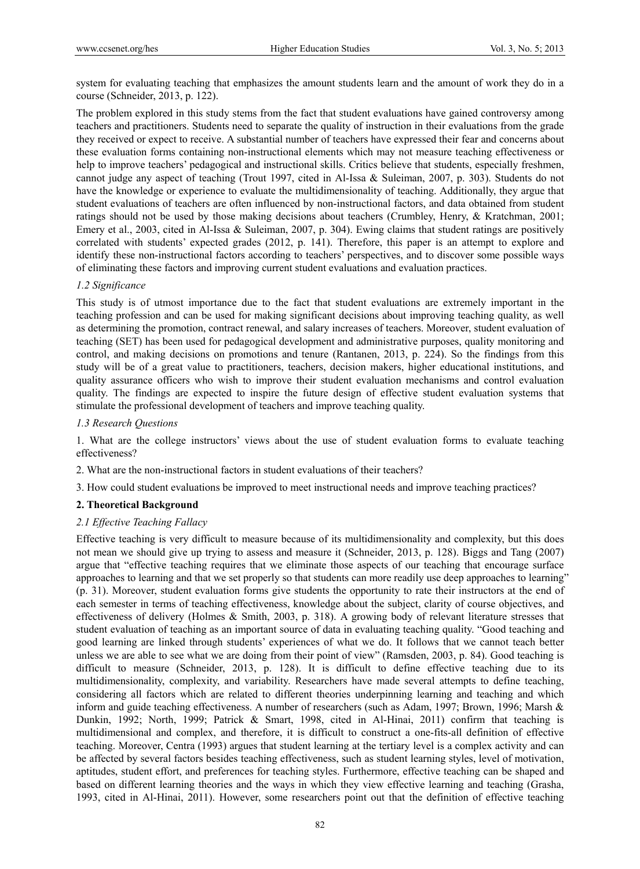system for evaluating teaching that emphasizes the amount students learn and the amount of work they do in a course (Schneider, 2013, p. 122).

The problem explored in this study stems from the fact that student evaluations have gained controversy among teachers and practitioners. Students need to separate the quality of instruction in their evaluations from the grade they received or expect to receive. A substantial number of teachers have expressed their fear and concerns about these evaluation forms containing non-instructional elements which may not measure teaching effectiveness or help to improve teachers' pedagogical and instructional skills. Critics believe that students, especially freshmen, cannot judge any aspect of teaching (Trout 1997, cited in Al-Issa & Suleiman, 2007, p. 303). Students do not have the knowledge or experience to evaluate the multidimensionality of teaching. Additionally, they argue that student evaluations of teachers are often influenced by non-instructional factors, and data obtained from student ratings should not be used by those making decisions about teachers (Crumbley, Henry, & Kratchman, 2001; Emery et al., 2003, cited in Al-Issa & Suleiman, 2007, p. 304). Ewing claims that student ratings are positively correlated with students' expected grades (2012, p. 141). Therefore, this paper is an attempt to explore and identify these non-instructional factors according to teachers' perspectives, and to discover some possible ways of eliminating these factors and improving current student evaluations and evaluation practices.

#### *1.2 Significance*

This study is of utmost importance due to the fact that student evaluations are extremely important in the teaching profession and can be used for making significant decisions about improving teaching quality, as well as determining the promotion, contract renewal, and salary increases of teachers. Moreover, student evaluation of teaching (SET) has been used for pedagogical development and administrative purposes, quality monitoring and control, and making decisions on promotions and tenure (Rantanen, 2013, p. 224). So the findings from this study will be of a great value to practitioners, teachers, decision makers, higher educational institutions, and quality assurance officers who wish to improve their student evaluation mechanisms and control evaluation quality. The findings are expected to inspire the future design of effective student evaluation systems that stimulate the professional development of teachers and improve teaching quality.

## *1.3 Research Questions*

1. What are the college instructors' views about the use of student evaluation forms to evaluate teaching effectiveness?

2. What are the non-instructional factors in student evaluations of their teachers?

3. How could student evaluations be improved to meet instructional needs and improve teaching practices?

#### **2. Theoretical Background**

# *2.1 Effective Teaching Fallacy*

Effective teaching is very difficult to measure because of its multidimensionality and complexity, but this does not mean we should give up trying to assess and measure it (Schneider, 2013, p. 128). Biggs and Tang (2007) argue that "effective teaching requires that we eliminate those aspects of our teaching that encourage surface approaches to learning and that we set properly so that students can more readily use deep approaches to learning" (p. 31). Moreover, student evaluation forms give students the opportunity to rate their instructors at the end of each semester in terms of teaching effectiveness, knowledge about the subject, clarity of course objectives, and effectiveness of delivery (Holmes & Smith, 2003, p. 318). A growing body of relevant literature stresses that student evaluation of teaching as an important source of data in evaluating teaching quality. "Good teaching and good learning are linked through students' experiences of what we do. It follows that we cannot teach better unless we are able to see what we are doing from their point of view" (Ramsden, 2003, p. 84). Good teaching is difficult to measure (Schneider, 2013, p. 128). It is difficult to define effective teaching due to its multidimensionality, complexity, and variability. Researchers have made several attempts to define teaching, considering all factors which are related to different theories underpinning learning and teaching and which inform and guide teaching effectiveness. A number of researchers (such as Adam, 1997; Brown, 1996; Marsh & Dunkin, 1992; North, 1999; Patrick & Smart, 1998, cited in Al-Hinai, 2011) confirm that teaching is multidimensional and complex, and therefore, it is difficult to construct a one-fits-all definition of effective teaching. Moreover, Centra (1993) argues that student learning at the tertiary level is a complex activity and can be affected by several factors besides teaching effectiveness, such as student learning styles, level of motivation, aptitudes, student effort, and preferences for teaching styles. Furthermore, effective teaching can be shaped and based on different learning theories and the ways in which they view effective learning and teaching (Grasha, 1993, cited in Al-Hinai, 2011). However, some researchers point out that the definition of effective teaching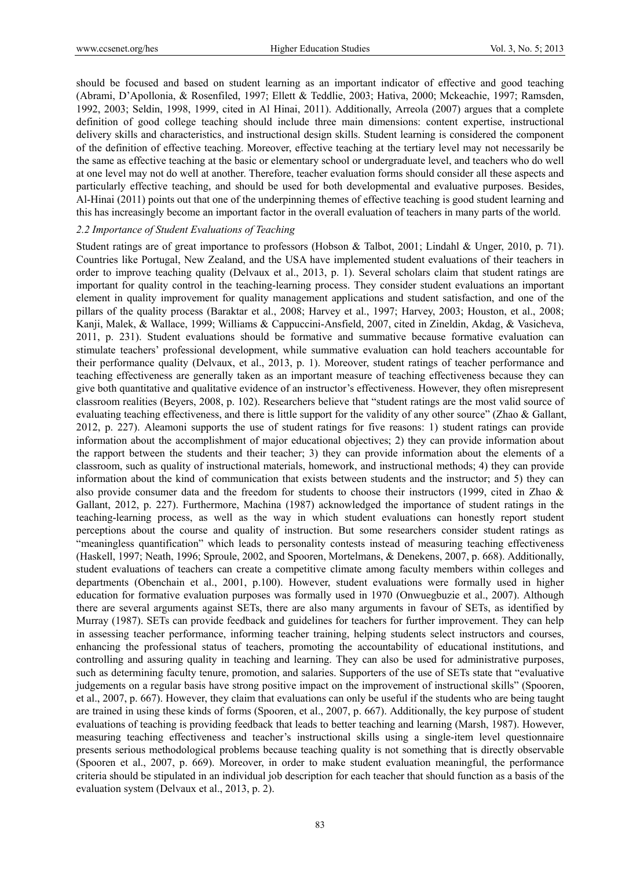should be focused and based on student learning as an important indicator of effective and good teaching (Abrami, D'Apollonia, & Rosenfiled, 1997; Ellett & Teddlie, 2003; Hativa, 2000; Mckeachie, 1997; Ramsden, 1992, 2003; Seldin, 1998, 1999, cited in Al Hinai, 2011). Additionally, Arreola (2007) argues that a complete definition of good college teaching should include three main dimensions: content expertise, instructional delivery skills and characteristics, and instructional design skills. Student learning is considered the component of the definition of effective teaching. Moreover, effective teaching at the tertiary level may not necessarily be the same as effective teaching at the basic or elementary school or undergraduate level, and teachers who do well at one level may not do well at another. Therefore, teacher evaluation forms should consider all these aspects and particularly effective teaching, and should be used for both developmental and evaluative purposes. Besides, Al-Hinai (2011) points out that one of the underpinning themes of effective teaching is good student learning and this has increasingly become an important factor in the overall evaluation of teachers in many parts of the world.

### *2.2 Importance of Student Evaluations of Teaching*

Student ratings are of great importance to professors (Hobson & Talbot, 2001; Lindahl & Unger, 2010, p. 71). Countries like Portugal, New Zealand, and the USA have implemented student evaluations of their teachers in order to improve teaching quality (Delvaux et al., 2013, p. 1). Several scholars claim that student ratings are important for quality control in the teaching-learning process. They consider student evaluations an important element in quality improvement for quality management applications and student satisfaction, and one of the pillars of the quality process (Baraktar et al., 2008; Harvey et al., 1997; Harvey, 2003; Houston, et al., 2008; Kanji, Malek, & Wallace, 1999; Williams & Cappuccini-Ansfield, 2007, cited in Zineldin, Akdag, & Vasicheva, 2011, p. 231). Student evaluations should be formative and summative because formative evaluation can stimulate teachers' professional development, while summative evaluation can hold teachers accountable for their performance quality (Delvaux, et al., 2013, p. 1). Moreover, student ratings of teacher performance and teaching effectiveness are generally taken as an important measure of teaching effectiveness because they can give both quantitative and qualitative evidence of an instructor's effectiveness. However, they often misrepresent classroom realities (Beyers, 2008, p. 102). Researchers believe that "student ratings are the most valid source of evaluating teaching effectiveness, and there is little support for the validity of any other source" (Zhao & Gallant, 2012, p. 227). Aleamoni supports the use of student ratings for five reasons: 1) student ratings can provide information about the accomplishment of major educational objectives; 2) they can provide information about the rapport between the students and their teacher; 3) they can provide information about the elements of a classroom, such as quality of instructional materials, homework, and instructional methods; 4) they can provide information about the kind of communication that exists between students and the instructor; and 5) they can also provide consumer data and the freedom for students to choose their instructors (1999, cited in Zhao & Gallant, 2012, p. 227). Furthermore, Machina (1987) acknowledged the importance of student ratings in the teaching-learning process, as well as the way in which student evaluations can honestly report student perceptions about the course and quality of instruction. But some researchers consider student ratings as "meaningless quantification" which leads to personality contests instead of measuring teaching effectiveness (Haskell, 1997; Neath, 1996; Sproule, 2002, and Spooren, Mortelmans, & Denekens, 2007, p. 668). Additionally, student evaluations of teachers can create a competitive climate among faculty members within colleges and departments (Obenchain et al., 2001, p.100). However, student evaluations were formally used in higher education for formative evaluation purposes was formally used in 1970 (Onwuegbuzie et al., 2007). Although there are several arguments against SETs, there are also many arguments in favour of SETs, as identified by Murray (1987). SETs can provide feedback and guidelines for teachers for further improvement. They can help in assessing teacher performance, informing teacher training, helping students select instructors and courses, enhancing the professional status of teachers, promoting the accountability of educational institutions, and controlling and assuring quality in teaching and learning. They can also be used for administrative purposes, such as determining faculty tenure, promotion, and salaries. Supporters of the use of SETs state that "evaluative judgements on a regular basis have strong positive impact on the improvement of instructional skills" (Spooren, et al., 2007, p. 667). However, they claim that evaluations can only be useful if the students who are being taught are trained in using these kinds of forms (Spooren, et al., 2007, p. 667). Additionally, the key purpose of student evaluations of teaching is providing feedback that leads to better teaching and learning (Marsh, 1987). However, measuring teaching effectiveness and teacher's instructional skills using a single-item level questionnaire presents serious methodological problems because teaching quality is not something that is directly observable (Spooren et al., 2007, p. 669). Moreover, in order to make student evaluation meaningful, the performance criteria should be stipulated in an individual job description for each teacher that should function as a basis of the evaluation system (Delvaux et al., 2013, p. 2).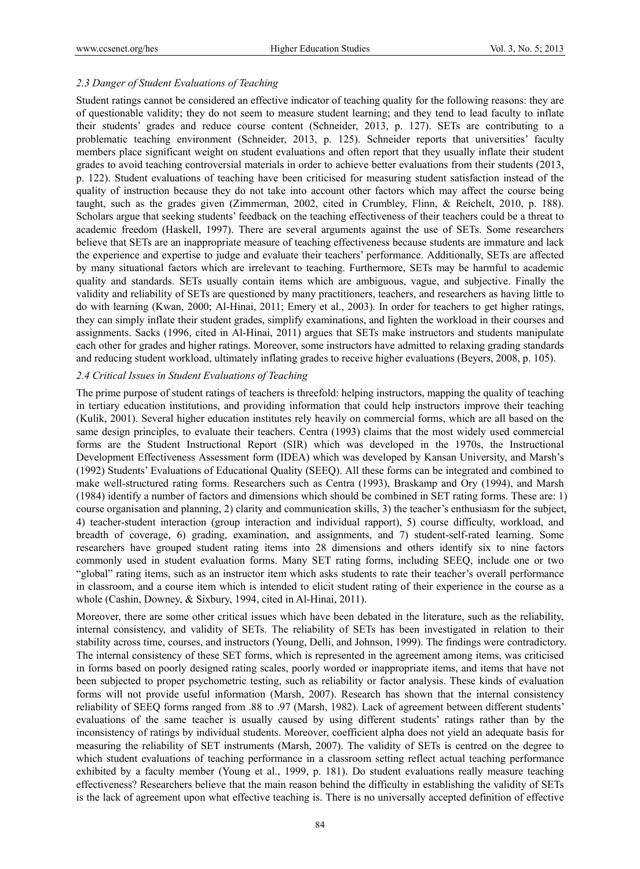#### *2.3 Danger of Student Evaluations of Teaching*

Student ratings cannot be considered an effective indicator of teaching quality for the following reasons: they are of questionable validity; they do not seem to measure student learning; and they tend to lead faculty to inflate their students' grades and reduce course content (Schneider, 2013, p. 127). SETs are contributing to a problematic teaching environment (Schneider, 2013, p. 125). Schneider reports that universities' faculty members place significant weight on student evaluations and often report that they usually inflate their student grades to avoid teaching controversial materials in order to achieve better evaluations from their students (2013, p. 122). Student evaluations of teaching have been criticised for measuring student satisfaction instead of the quality of instruction because they do not take into account other factors which may affect the course being taught, such as the grades given (Zimmerman, 2002, cited in Crumbley, Flinn, & Reichelt, 2010, p. 188). Scholars argue that seeking students' feedback on the teaching effectiveness of their teachers could be a threat to academic freedom (Haskell, 1997). There are several arguments against the use of SETs. Some researchers believe that SETs are an inappropriate measure of teaching effectiveness because students are immature and lack the experience and expertise to judge and evaluate their teachers' performance. Additionally, SETs are affected by many situational factors which are irrelevant to teaching. Furthermore, SETs may be harmful to academic quality and standards. SETs usually contain items which are ambiguous, vague, and subjective. Finally the validity and reliability of SETs are questioned by many practitioners, teachers, and researchers as having little to do with learning (Kwan, 2000; Al-Hinai, 2011; Emery et al., 2003). In order for teachers to get higher ratings, they can simply inflate their student grades, simplify examinations, and lighten the workload in their courses and assignments. Sacks (1996, cited in Al-Hinai, 2011) argues that SETs make instructors and students manipulate each other for grades and higher ratings. Moreover, some instructors have admitted to relaxing grading standards and reducing student workload, ultimately inflating grades to receive higher evaluations (Beyers, 2008, p. 105).

#### *2.4 Critical Issues in Student Evaluations of Teaching*

The prime purpose of student ratings of teachers is threefold: helping instructors, mapping the quality of teaching in tertiary education institutions, and providing information that could help instructors improve their teaching (Kulik, 2001). Several higher education institutes rely heavily on commercial forms, which are all based on the same design principles, to evaluate their teachers. Centra (1993) claims that the most widely used commercial forms are the Student Instructional Report (SIR) which was developed in the 1970s, the Instructional Development Effectiveness Assessment form (IDEA) which was developed by Kansan University, and Marsh's (1992) Students' Evaluations of Educational Quality (SEEQ). All these forms can be integrated and combined to make well-structured rating forms. Researchers such as Centra (1993), Braskamp and Ory (1994), and Marsh (1984) identify a number of factors and dimensions which should be combined in SET rating forms. These are: 1) course organisation and planning, 2) clarity and communication skills, 3) the teacher's enthusiasm for the subject, 4) teacher-student interaction (group interaction and individual rapport), 5) course difficulty, workload, and breadth of coverage, 6) grading, examination, and assignments, and 7) student-self-rated learning. Some researchers have grouped student rating items into 28 dimensions and others identify six to nine factors commonly used in student evaluation forms. Many SET rating forms, including SEEQ, include one or two "global" rating items, such as an instructor item which asks students to rate their teacher's overall performance in classroom, and a course item which is intended to elicit student rating of their experience in the course as a whole (Cashin, Downey, & Sixbury, 1994, cited in Al-Hinai, 2011).

Moreover, there are some other critical issues which have been debated in the literature, such as the reliability, internal consistency, and validity of SETs. The reliability of SETs has been investigated in relation to their stability across time, courses, and instructors (Young, Delli, and Johnson, 1999). The findings were contradictory. The internal consistency of these SET forms, which is represented in the agreement among items, was criticised in forms based on poorly designed rating scales, poorly worded or inappropriate items, and items that have not been subjected to proper psychometric testing, such as reliability or factor analysis. These kinds of evaluation forms will not provide useful information (Marsh, 2007). Research has shown that the internal consistency reliability of SEEQ forms ranged from .88 to .97 (Marsh, 1982). Lack of agreement between different students' evaluations of the same teacher is usually caused by using different students' ratings rather than by the inconsistency of ratings by individual students. Moreover, coefficient alpha does not yield an adequate basis for measuring the reliability of SET instruments (Marsh, 2007). The validity of SETs is centred on the degree to which student evaluations of teaching performance in a classroom setting reflect actual teaching performance exhibited by a faculty member (Young et al., 1999, p. 181). Do student evaluations really measure teaching effectiveness? Researchers believe that the main reason behind the difficulty in establishing the validity of SETs is the lack of agreement upon what effective teaching is. There is no universally accepted definition of effective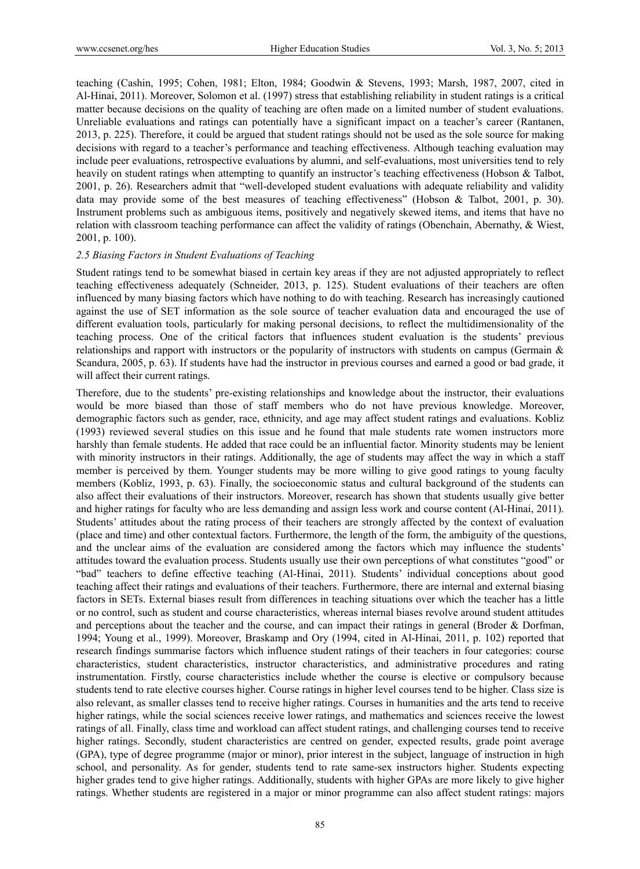teaching (Cashin, 1995; Cohen, 1981; Elton, 1984; Goodwin & Stevens, 1993; Marsh, 1987, 2007, cited in Al-Hinai, 2011). Moreover, Solomon et al. (1997) stress that establishing reliability in student ratings is a critical matter because decisions on the quality of teaching are often made on a limited number of student evaluations. Unreliable evaluations and ratings can potentially have a significant impact on a teacher's career (Rantanen, 2013, p. 225). Therefore, it could be argued that student ratings should not be used as the sole source for making decisions with regard to a teacher's performance and teaching effectiveness. Although teaching evaluation may include peer evaluations, retrospective evaluations by alumni, and self-evaluations, most universities tend to rely heavily on student ratings when attempting to quantify an instructor's teaching effectiveness (Hobson & Talbot, 2001, p. 26). Researchers admit that "well-developed student evaluations with adequate reliability and validity data may provide some of the best measures of teaching effectiveness" (Hobson & Talbot, 2001, p. 30). Instrument problems such as ambiguous items, positively and negatively skewed items, and items that have no relation with classroom teaching performance can affect the validity of ratings (Obenchain, Abernathy, & Wiest, 2001, p. 100).

#### *2.5 Biasing Factors in Student Evaluations of Teaching*

Student ratings tend to be somewhat biased in certain key areas if they are not adjusted appropriately to reflect teaching effectiveness adequately (Schneider, 2013, p. 125). Student evaluations of their teachers are often influenced by many biasing factors which have nothing to do with teaching. Research has increasingly cautioned against the use of SET information as the sole source of teacher evaluation data and encouraged the use of different evaluation tools, particularly for making personal decisions, to reflect the multidimensionality of the teaching process. One of the critical factors that influences student evaluation is the students' previous relationships and rapport with instructors or the popularity of instructors with students on campus (Germain & Scandura, 2005, p. 63). If students have had the instructor in previous courses and earned a good or bad grade, it will affect their current ratings.

Therefore, due to the students' pre-existing relationships and knowledge about the instructor, their evaluations would be more biased than those of staff members who do not have previous knowledge. Moreover, demographic factors such as gender, race, ethnicity, and age may affect student ratings and evaluations. Kobliz (1993) reviewed several studies on this issue and he found that male students rate women instructors more harshly than female students. He added that race could be an influential factor. Minority students may be lenient with minority instructors in their ratings. Additionally, the age of students may affect the way in which a staff member is perceived by them. Younger students may be more willing to give good ratings to young faculty members (Kobliz, 1993, p. 63). Finally, the socioeconomic status and cultural background of the students can also affect their evaluations of their instructors. Moreover, research has shown that students usually give better and higher ratings for faculty who are less demanding and assign less work and course content (Al-Hinai, 2011). Students' attitudes about the rating process of their teachers are strongly affected by the context of evaluation (place and time) and other contextual factors. Furthermore, the length of the form, the ambiguity of the questions, and the unclear aims of the evaluation are considered among the factors which may influence the students' attitudes toward the evaluation process. Students usually use their own perceptions of what constitutes "good" or "bad" teachers to define effective teaching (Al-Hinai, 2011). Students' individual conceptions about good teaching affect their ratings and evaluations of their teachers. Furthermore, there are internal and external biasing factors in SETs. External biases result from differences in teaching situations over which the teacher has a little or no control, such as student and course characteristics, whereas internal biases revolve around student attitudes and perceptions about the teacher and the course, and can impact their ratings in general (Broder & Dorfman, 1994; Young et al., 1999). Moreover, Braskamp and Ory (1994, cited in Al-Hinai, 2011, p. 102) reported that research findings summarise factors which influence student ratings of their teachers in four categories: course characteristics, student characteristics, instructor characteristics, and administrative procedures and rating instrumentation. Firstly, course characteristics include whether the course is elective or compulsory because students tend to rate elective courses higher. Course ratings in higher level courses tend to be higher. Class size is also relevant, as smaller classes tend to receive higher ratings. Courses in humanities and the arts tend to receive higher ratings, while the social sciences receive lower ratings, and mathematics and sciences receive the lowest ratings of all. Finally, class time and workload can affect student ratings, and challenging courses tend to receive higher ratings. Secondly, student characteristics are centred on gender, expected results, grade point average (GPA), type of degree programme (major or minor), prior interest in the subject, language of instruction in high school, and personality. As for gender, students tend to rate same-sex instructors higher. Students expecting higher grades tend to give higher ratings. Additionally, students with higher GPAs are more likely to give higher ratings. Whether students are registered in a major or minor programme can also affect student ratings: majors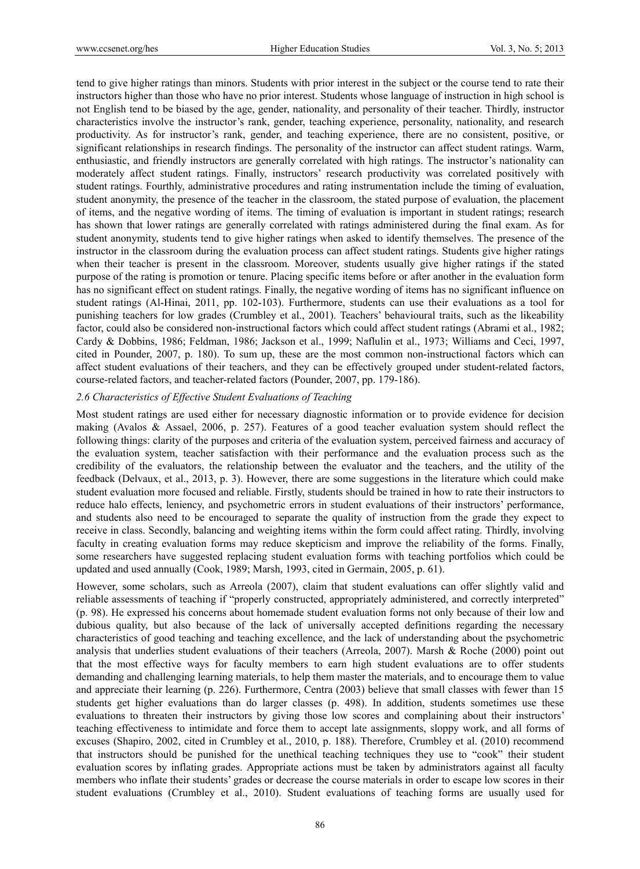tend to give higher ratings than minors. Students with prior interest in the subject or the course tend to rate their instructors higher than those who have no prior interest. Students whose language of instruction in high school is not English tend to be biased by the age, gender, nationality, and personality of their teacher. Thirdly, instructor characteristics involve the instructor's rank, gender, teaching experience, personality, nationality, and research productivity. As for instructor's rank, gender, and teaching experience, there are no consistent, positive, or significant relationships in research findings. The personality of the instructor can affect student ratings. Warm, enthusiastic, and friendly instructors are generally correlated with high ratings. The instructor's nationality can moderately affect student ratings. Finally, instructors' research productivity was correlated positively with student ratings. Fourthly, administrative procedures and rating instrumentation include the timing of evaluation, student anonymity, the presence of the teacher in the classroom, the stated purpose of evaluation, the placement of items, and the negative wording of items. The timing of evaluation is important in student ratings; research has shown that lower ratings are generally correlated with ratings administered during the final exam. As for student anonymity, students tend to give higher ratings when asked to identify themselves. The presence of the instructor in the classroom during the evaluation process can affect student ratings. Students give higher ratings when their teacher is present in the classroom. Moreover, students usually give higher ratings if the stated purpose of the rating is promotion or tenure. Placing specific items before or after another in the evaluation form has no significant effect on student ratings. Finally, the negative wording of items has no significant influence on student ratings (Al-Hinai, 2011, pp. 102-103). Furthermore, students can use their evaluations as a tool for punishing teachers for low grades (Crumbley et al., 2001). Teachers' behavioural traits, such as the likeability factor, could also be considered non-instructional factors which could affect student ratings (Abrami et al., 1982; Cardy & Dobbins, 1986; Feldman, 1986; Jackson et al., 1999; Naflulin et al., 1973; Williams and Ceci, 1997, cited in Pounder, 2007, p. 180). To sum up, these are the most common non-instructional factors which can affect student evaluations of their teachers, and they can be effectively grouped under student-related factors, course-related factors, and teacher-related factors (Pounder, 2007, pp. 179-186).

#### *2.6 Characteristics of Effective Student Evaluations of Teaching*

Most student ratings are used either for necessary diagnostic information or to provide evidence for decision making (Avalos & Assael, 2006, p. 257). Features of a good teacher evaluation system should reflect the following things: clarity of the purposes and criteria of the evaluation system, perceived fairness and accuracy of the evaluation system, teacher satisfaction with their performance and the evaluation process such as the credibility of the evaluators, the relationship between the evaluator and the teachers, and the utility of the feedback (Delvaux, et al., 2013, p. 3). However, there are some suggestions in the literature which could make student evaluation more focused and reliable. Firstly, students should be trained in how to rate their instructors to reduce halo effects, leniency, and psychometric errors in student evaluations of their instructors' performance, and students also need to be encouraged to separate the quality of instruction from the grade they expect to receive in class. Secondly, balancing and weighting items within the form could affect rating. Thirdly, involving faculty in creating evaluation forms may reduce skepticism and improve the reliability of the forms. Finally, some researchers have suggested replacing student evaluation forms with teaching portfolios which could be updated and used annually (Cook, 1989; Marsh, 1993, cited in Germain, 2005, p. 61).

However, some scholars, such as Arreola (2007), claim that student evaluations can offer slightly valid and reliable assessments of teaching if "properly constructed, appropriately administered, and correctly interpreted" (p. 98). He expressed his concerns about homemade student evaluation forms not only because of their low and dubious quality, but also because of the lack of universally accepted definitions regarding the necessary characteristics of good teaching and teaching excellence, and the lack of understanding about the psychometric analysis that underlies student evaluations of their teachers (Arreola, 2007). Marsh & Roche (2000) point out that the most effective ways for faculty members to earn high student evaluations are to offer students demanding and challenging learning materials, to help them master the materials, and to encourage them to value and appreciate their learning (p. 226). Furthermore, Centra (2003) believe that small classes with fewer than 15 students get higher evaluations than do larger classes (p. 498). In addition, students sometimes use these evaluations to threaten their instructors by giving those low scores and complaining about their instructors' teaching effectiveness to intimidate and force them to accept late assignments, sloppy work, and all forms of excuses (Shapiro, 2002, cited in Crumbley et al., 2010, p. 188). Therefore, Crumbley et al. (2010) recommend that instructors should be punished for the unethical teaching techniques they use to "cook" their student evaluation scores by inflating grades. Appropriate actions must be taken by administrators against all faculty members who inflate their students' grades or decrease the course materials in order to escape low scores in their student evaluations (Crumbley et al., 2010). Student evaluations of teaching forms are usually used for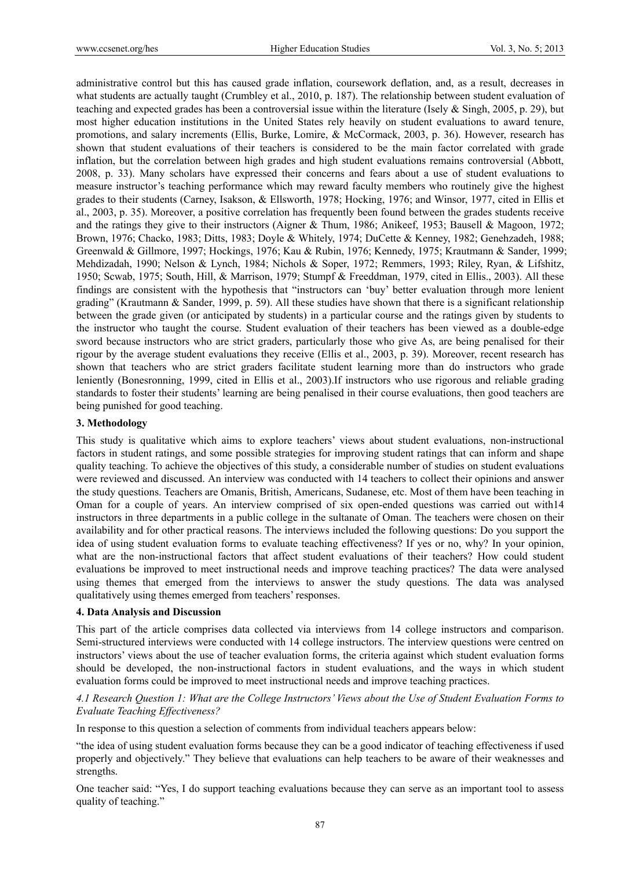administrative control but this has caused grade inflation, coursework deflation, and, as a result, decreases in what students are actually taught (Crumbley et al., 2010, p. 187). The relationship between student evaluation of teaching and expected grades has been a controversial issue within the literature (Isely & Singh, 2005, p. 29), but most higher education institutions in the United States rely heavily on student evaluations to award tenure, promotions, and salary increments (Ellis, Burke, Lomire, & McCormack, 2003, p. 36). However, research has shown that student evaluations of their teachers is considered to be the main factor correlated with grade inflation, but the correlation between high grades and high student evaluations remains controversial (Abbott, 2008, p. 33). Many scholars have expressed their concerns and fears about a use of student evaluations to measure instructor's teaching performance which may reward faculty members who routinely give the highest grades to their students (Carney, Isakson, & Ellsworth, 1978; Hocking, 1976; and Winsor, 1977, cited in Ellis et al., 2003, p. 35). Moreover, a positive correlation has frequently been found between the grades students receive and the ratings they give to their instructors (Aigner & Thum, 1986; Anikeef, 1953; Bausell & Magoon, 1972; Brown, 1976; Chacko, 1983; Ditts, 1983; Doyle & Whitely, 1974; DuCette & Kenney, 1982; Genehzadeh, 1988; Greenwald & Gillmore, 1997; Hockings, 1976; Kau & Rubin, 1976; Kennedy, 1975; Krautmann & Sander, 1999; Mehdizadah, 1990; Nelson & Lynch, 1984; Nichols & Soper, 1972; Remmers, 1993; Riley, Ryan, & Lifshitz, 1950; Scwab, 1975; South, Hill, & Marrison, 1979; Stumpf & Freeddman, 1979, cited in Ellis., 2003). All these findings are consistent with the hypothesis that "instructors can 'buy' better evaluation through more lenient grading" (Krautmann & Sander, 1999, p. 59). All these studies have shown that there is a significant relationship between the grade given (or anticipated by students) in a particular course and the ratings given by students to the instructor who taught the course. Student evaluation of their teachers has been viewed as a double-edge sword because instructors who are strict graders, particularly those who give As, are being penalised for their rigour by the average student evaluations they receive (Ellis et al., 2003, p. 39). Moreover, recent research has shown that teachers who are strict graders facilitate student learning more than do instructors who grade leniently (Bonesronning, 1999, cited in Ellis et al., 2003).If instructors who use rigorous and reliable grading standards to foster their students' learning are being penalised in their course evaluations, then good teachers are being punished for good teaching.

#### **3. Methodology**

This study is qualitative which aims to explore teachers' views about student evaluations, non-instructional factors in student ratings, and some possible strategies for improving student ratings that can inform and shape quality teaching. To achieve the objectives of this study, a considerable number of studies on student evaluations were reviewed and discussed. An interview was conducted with 14 teachers to collect their opinions and answer the study questions. Teachers are Omanis, British, Americans, Sudanese, etc. Most of them have been teaching in Oman for a couple of years. An interview comprised of six open-ended questions was carried out with14 instructors in three departments in a public college in the sultanate of Oman. The teachers were chosen on their availability and for other practical reasons. The interviews included the following questions: Do you support the idea of using student evaluation forms to evaluate teaching effectiveness? If yes or no, why? In your opinion, what are the non-instructional factors that affect student evaluations of their teachers? How could student evaluations be improved to meet instructional needs and improve teaching practices? The data were analysed using themes that emerged from the interviews to answer the study questions. The data was analysed qualitatively using themes emerged from teachers' responses.

#### **4. Data Analysis and Discussion**

This part of the article comprises data collected via interviews from 14 college instructors and comparison. Semi-structured interviews were conducted with 14 college instructors. The interview questions were centred on instructors' views about the use of teacher evaluation forms, the criteria against which student evaluation forms should be developed, the non-instructional factors in student evaluations, and the ways in which student evaluation forms could be improved to meet instructional needs and improve teaching practices.

## *4.1 Research Question 1: What are the College Instructors' Views about the Use of Student Evaluation Forms to Evaluate Teaching Effectiveness?*

In response to this question a selection of comments from individual teachers appears below:

"the idea of using student evaluation forms because they can be a good indicator of teaching effectiveness if used properly and objectively." They believe that evaluations can help teachers to be aware of their weaknesses and strengths.

One teacher said: "Yes, I do support teaching evaluations because they can serve as an important tool to assess quality of teaching."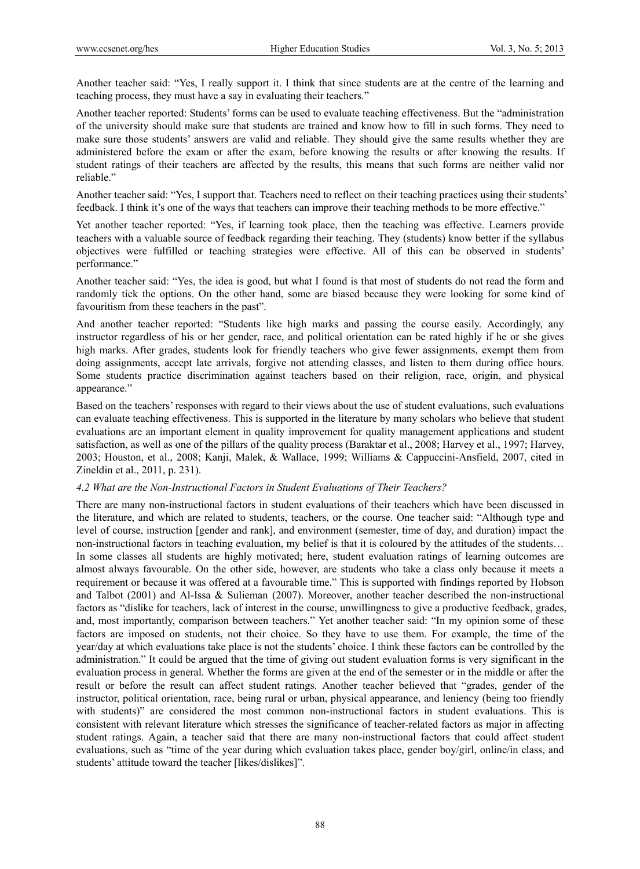Another teacher said: "Yes, I really support it. I think that since students are at the centre of the learning and teaching process, they must have a say in evaluating their teachers."

Another teacher reported: Students' forms can be used to evaluate teaching effectiveness. But the "administration of the university should make sure that students are trained and know how to fill in such forms. They need to make sure those students' answers are valid and reliable. They should give the same results whether they are administered before the exam or after the exam, before knowing the results or after knowing the results. If student ratings of their teachers are affected by the results, this means that such forms are neither valid nor reliable."

Another teacher said: "Yes, I support that. Teachers need to reflect on their teaching practices using their students' feedback. I think it's one of the ways that teachers can improve their teaching methods to be more effective."

Yet another teacher reported: "Yes, if learning took place, then the teaching was effective. Learners provide teachers with a valuable source of feedback regarding their teaching. They (students) know better if the syllabus objectives were fulfilled or teaching strategies were effective. All of this can be observed in students' performance."

Another teacher said: "Yes, the idea is good, but what I found is that most of students do not read the form and randomly tick the options. On the other hand, some are biased because they were looking for some kind of favouritism from these teachers in the past".

And another teacher reported: "Students like high marks and passing the course easily. Accordingly, any instructor regardless of his or her gender, race, and political orientation can be rated highly if he or she gives high marks. After grades, students look for friendly teachers who give fewer assignments, exempt them from doing assignments, accept late arrivals, forgive not attending classes, and listen to them during office hours. Some students practice discrimination against teachers based on their religion, race, origin, and physical appearance."

Based on the teachers' responses with regard to their views about the use of student evaluations, such evaluations can evaluate teaching effectiveness. This is supported in the literature by many scholars who believe that student evaluations are an important element in quality improvement for quality management applications and student satisfaction, as well as one of the pillars of the quality process (Baraktar et al., 2008; Harvey et al., 1997; Harvey, 2003; Houston, et al., 2008; Kanji, Malek, & Wallace, 1999; Williams & Cappuccini-Ansfield, 2007, cited in Zineldin et al., 2011, p. 231).

#### *4.2 What are the Non-Instructional Factors in Student Evaluations of Their Teachers?*

There are many non-instructional factors in student evaluations of their teachers which have been discussed in the literature, and which are related to students, teachers, or the course. One teacher said: "Although type and level of course, instruction [gender and rank], and environment (semester, time of day, and duration) impact the non-instructional factors in teaching evaluation, my belief is that it is coloured by the attitudes of the students… In some classes all students are highly motivated; here, student evaluation ratings of learning outcomes are almost always favourable. On the other side, however, are students who take a class only because it meets a requirement or because it was offered at a favourable time." This is supported with findings reported by Hobson and Talbot (2001) and Al-Issa & Sulieman (2007). Moreover, another teacher described the non-instructional factors as "dislike for teachers, lack of interest in the course, unwillingness to give a productive feedback, grades, and, most importantly, comparison between teachers." Yet another teacher said: "In my opinion some of these factors are imposed on students, not their choice. So they have to use them. For example, the time of the year/day at which evaluations take place is not the students' choice. I think these factors can be controlled by the administration." It could be argued that the time of giving out student evaluation forms is very significant in the evaluation process in general. Whether the forms are given at the end of the semester or in the middle or after the result or before the result can affect student ratings. Another teacher believed that "grades, gender of the instructor, political orientation, race, being rural or urban, physical appearance, and leniency (being too friendly with students)" are considered the most common non-instructional factors in student evaluations. This is consistent with relevant literature which stresses the significance of teacher-related factors as major in affecting student ratings. Again, a teacher said that there are many non-instructional factors that could affect student evaluations, such as "time of the year during which evaluation takes place, gender boy/girl, online/in class, and students' attitude toward the teacher [likes/dislikes]".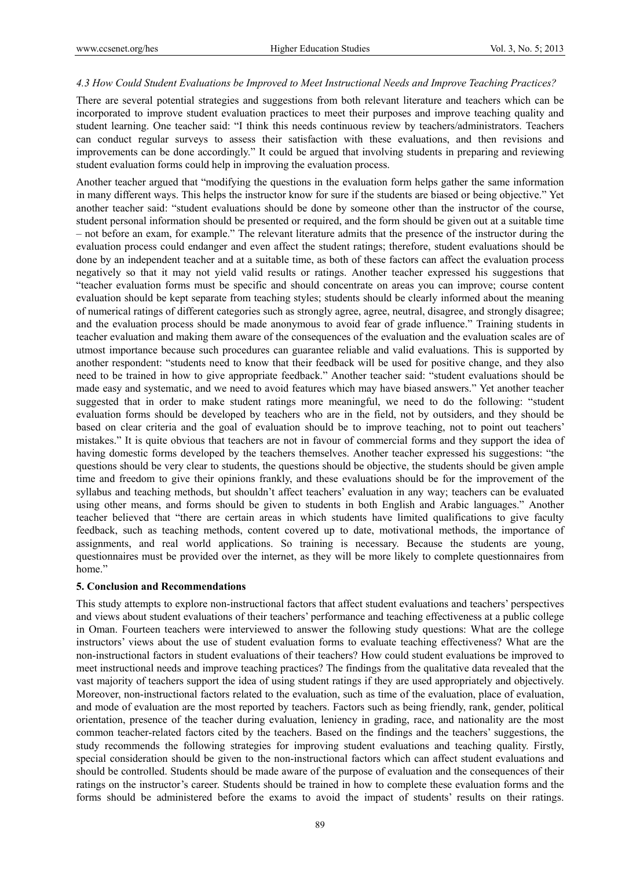#### *4.3 How Could Student Evaluations be Improved to Meet Instructional Needs and Improve Teaching Practices?*

There are several potential strategies and suggestions from both relevant literature and teachers which can be incorporated to improve student evaluation practices to meet their purposes and improve teaching quality and student learning. One teacher said: "I think this needs continuous review by teachers/administrators. Teachers can conduct regular surveys to assess their satisfaction with these evaluations, and then revisions and improvements can be done accordingly." It could be argued that involving students in preparing and reviewing student evaluation forms could help in improving the evaluation process.

Another teacher argued that "modifying the questions in the evaluation form helps gather the same information in many different ways. This helps the instructor know for sure if the students are biased or being objective." Yet another teacher said: "student evaluations should be done by someone other than the instructor of the course, student personal information should be presented or required, and the form should be given out at a suitable time – not before an exam, for example." The relevant literature admits that the presence of the instructor during the evaluation process could endanger and even affect the student ratings; therefore, student evaluations should be done by an independent teacher and at a suitable time, as both of these factors can affect the evaluation process negatively so that it may not yield valid results or ratings. Another teacher expressed his suggestions that "teacher evaluation forms must be specific and should concentrate on areas you can improve; course content evaluation should be kept separate from teaching styles; students should be clearly informed about the meaning of numerical ratings of different categories such as strongly agree, agree, neutral, disagree, and strongly disagree; and the evaluation process should be made anonymous to avoid fear of grade influence." Training students in teacher evaluation and making them aware of the consequences of the evaluation and the evaluation scales are of utmost importance because such procedures can guarantee reliable and valid evaluations. This is supported by another respondent: "students need to know that their feedback will be used for positive change, and they also need to be trained in how to give appropriate feedback." Another teacher said: "student evaluations should be made easy and systematic, and we need to avoid features which may have biased answers." Yet another teacher suggested that in order to make student ratings more meaningful, we need to do the following: "student evaluation forms should be developed by teachers who are in the field, not by outsiders, and they should be based on clear criteria and the goal of evaluation should be to improve teaching, not to point out teachers' mistakes." It is quite obvious that teachers are not in favour of commercial forms and they support the idea of having domestic forms developed by the teachers themselves. Another teacher expressed his suggestions: "the questions should be very clear to students, the questions should be objective, the students should be given ample time and freedom to give their opinions frankly, and these evaluations should be for the improvement of the syllabus and teaching methods, but shouldn't affect teachers' evaluation in any way; teachers can be evaluated using other means, and forms should be given to students in both English and Arabic languages." Another teacher believed that "there are certain areas in which students have limited qualifications to give faculty feedback, such as teaching methods, content covered up to date, motivational methods, the importance of assignments, and real world applications. So training is necessary. Because the students are young, questionnaires must be provided over the internet, as they will be more likely to complete questionnaires from home."

#### **5. Conclusion and Recommendations**

This study attempts to explore non-instructional factors that affect student evaluations and teachers' perspectives and views about student evaluations of their teachers' performance and teaching effectiveness at a public college in Oman. Fourteen teachers were interviewed to answer the following study questions: What are the college instructors' views about the use of student evaluation forms to evaluate teaching effectiveness? What are the non-instructional factors in student evaluations of their teachers? How could student evaluations be improved to meet instructional needs and improve teaching practices? The findings from the qualitative data revealed that the vast majority of teachers support the idea of using student ratings if they are used appropriately and objectively. Moreover, non-instructional factors related to the evaluation, such as time of the evaluation, place of evaluation, and mode of evaluation are the most reported by teachers. Factors such as being friendly, rank, gender, political orientation, presence of the teacher during evaluation, leniency in grading, race, and nationality are the most common teacher-related factors cited by the teachers. Based on the findings and the teachers' suggestions, the study recommends the following strategies for improving student evaluations and teaching quality. Firstly, special consideration should be given to the non-instructional factors which can affect student evaluations and should be controlled. Students should be made aware of the purpose of evaluation and the consequences of their ratings on the instructor's career. Students should be trained in how to complete these evaluation forms and the forms should be administered before the exams to avoid the impact of students' results on their ratings.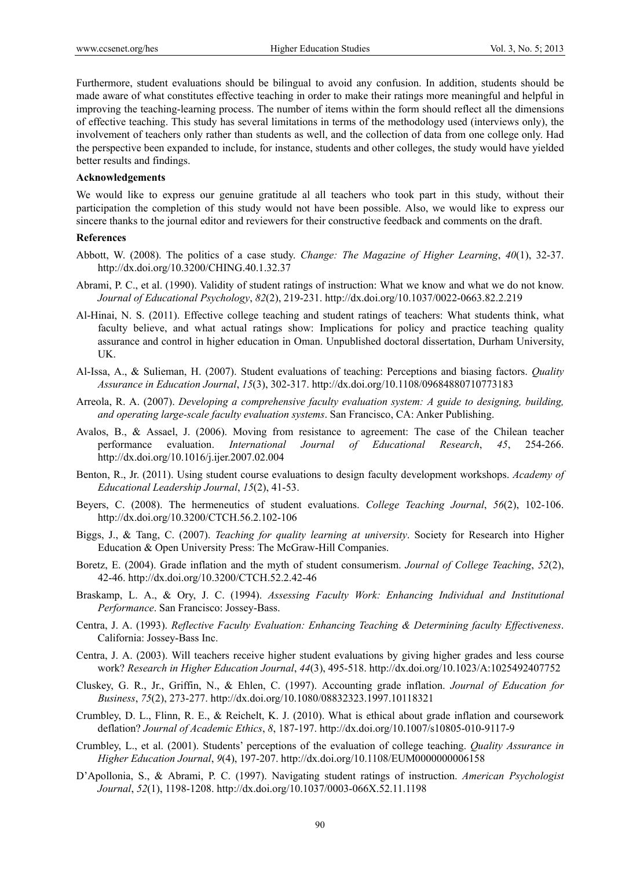Furthermore, student evaluations should be bilingual to avoid any confusion. In addition, students should be made aware of what constitutes effective teaching in order to make their ratings more meaningful and helpful in improving the teaching-learning process. The number of items within the form should reflect all the dimensions of effective teaching. This study has several limitations in terms of the methodology used (interviews only), the involvement of teachers only rather than students as well, and the collection of data from one college only. Had the perspective been expanded to include, for instance, students and other colleges, the study would have yielded better results and findings.

#### **Acknowledgements**

We would like to express our genuine gratitude al all teachers who took part in this study, without their participation the completion of this study would not have been possible. Also, we would like to express our sincere thanks to the journal editor and reviewers for their constructive feedback and comments on the draft.

#### **References**

- Abbott, W. (2008). The politics of a case study. *Change: The Magazine of Higher Learning*, *40*(1), 32-37. http://dx.doi.org/10.3200/CHING.40.1.32.37
- Abrami, P. C., et al. (1990). Validity of student ratings of instruction: What we know and what we do not know. *Journal of Educational Psychology*, *82*(2), 219-231. http://dx.doi.org/10.1037/0022-0663.82.2.219
- Al-Hinai, N. S. (2011). Effective college teaching and student ratings of teachers: What students think, what faculty believe, and what actual ratings show: Implications for policy and practice teaching quality assurance and control in higher education in Oman. Unpublished doctoral dissertation, Durham University, UK.
- Al-Issa, A., & Sulieman, H. (2007). Student evaluations of teaching: Perceptions and biasing factors. *Quality Assurance in Education Journal*, *15*(3), 302-317. http://dx.doi.org/10.1108/09684880710773183
- Arreola, R. A. (2007). *Developing a comprehensive faculty evaluation system: A guide to designing, building, and operating large-scale faculty evaluation systems*. San Francisco, CA: Anker Publishing.
- Avalos, B., & Assael, J. (2006). Moving from resistance to agreement: The case of the Chilean teacher performance evaluation. *International Journal of Educational Research*, *45*, 254-266. http://dx.doi.org/10.1016/j.ijer.2007.02.004
- Benton, R., Jr. (2011). Using student course evaluations to design faculty development workshops. *Academy of Educational Leadership Journal*, *15*(2), 41-53.
- Beyers, C. (2008). The hermeneutics of student evaluations. *College Teaching Journal*, *56*(2), 102-106. http://dx.doi.org/10.3200/CTCH.56.2.102-106
- Biggs, J., & Tang, C. (2007). *Teaching for quality learning at university*. Society for Research into Higher Education & Open University Press: The McGraw-Hill Companies.
- Boretz, E. (2004). Grade inflation and the myth of student consumerism. *Journal of College Teaching*, *52*(2), 42-46. http://dx.doi.org/10.3200/CTCH.52.2.42-46
- Braskamp, L. A., & Ory, J. C. (1994). *Assessing Faculty Work: Enhancing Individual and Institutional Performance*. San Francisco: Jossey-Bass.
- Centra, J. A. (1993). *Reflective Faculty Evaluation: Enhancing Teaching & Determining faculty Effectiveness*. California: Jossey-Bass Inc.
- Centra, J. A. (2003). Will teachers receive higher student evaluations by giving higher grades and less course work? *Research in Higher Education Journal*, *44*(3), 495-518. http://dx.doi.org/10.1023/A:1025492407752
- Cluskey, G. R., Jr., Griffin, N., & Ehlen, C. (1997). Accounting grade inflation. *Journal of Education for Business*, *75*(2), 273-277. http://dx.doi.org/10.1080/08832323.1997.10118321
- Crumbley, D. L., Flinn, R. E., & Reichelt, K. J. (2010). What is ethical about grade inflation and coursework deflation? *Journal of Academic Ethics*, *8*, 187-197. http://dx.doi.org/10.1007/s10805-010-9117-9
- Crumbley, L., et al. (2001). Students' perceptions of the evaluation of college teaching. *Quality Assurance in Higher Education Journal*, *9*(4), 197-207. http://dx.doi.org/10.1108/EUM0000000006158
- D'Apollonia, S., & Abrami, P. C. (1997). Navigating student ratings of instruction. *American Psychologist Journal*, *52*(1), 1198-1208. http://dx.doi.org/10.1037/0003-066X.52.11.1198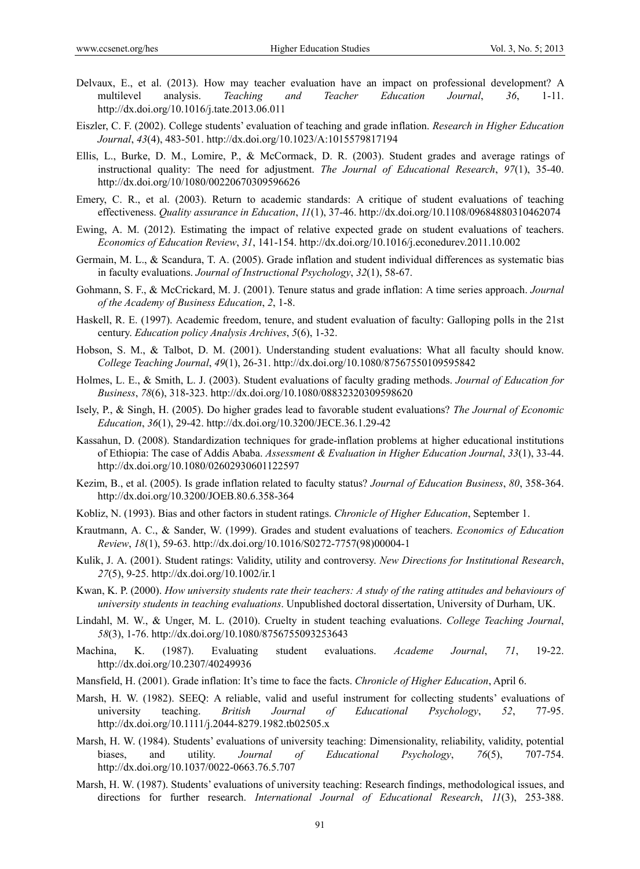- Delvaux, E., et al. (2013). How may teacher evaluation have an impact on professional development? A multilevel analysis. *Teaching and Teacher Education Journal*, *36*, 1-11. http://dx.doi.org/10.1016/j.tate.2013.06.011
- Eiszler, C. F. (2002). College students' evaluation of teaching and grade inflation. *Research in Higher Education Journal*, *43*(4), 483-501. http://dx.doi.org/10.1023/A:1015579817194
- Ellis, L., Burke, D. M., Lomire, P., & McCormack, D. R. (2003). Student grades and average ratings of instructional quality: The need for adjustment. *The Journal of Educational Research*, *97*(1), 35-40. http://dx.doi.org/10/1080/00220670309596626
- Emery, C. R., et al. (2003). Return to academic standards: A critique of student evaluations of teaching effectiveness. *Quality assurance in Education*, *11*(1), 37-46. http://dx.doi.org/10.1108/09684880310462074
- Ewing, A. M. (2012). Estimating the impact of relative expected grade on student evaluations of teachers. *Economics of Education Review*, *31*, 141-154. http://dx.doi.org/10.1016/j.econedurev.2011.10.002
- Germain, M. L., & Scandura, T. A. (2005). Grade inflation and student individual differences as systematic bias in faculty evaluations. *Journal of Instructional Psychology*, *32*(1), 58-67.
- Gohmann, S. F., & McCrickard, M. J. (2001). Tenure status and grade inflation: A time series approach. *Journal of the Academy of Business Education*, *2*, 1-8.
- Haskell, R. E. (1997). Academic freedom, tenure, and student evaluation of faculty: Galloping polls in the 21st century. *Education policy Analysis Archives*, *5*(6), 1-32.
- Hobson, S. M., & Talbot, D. M. (2001). Understanding student evaluations: What all faculty should know. *College Teaching Journal*, *49*(1), 26-31. http://dx.doi.org/10.1080/87567550109595842
- Holmes, L. E., & Smith, L. J. (2003). Student evaluations of faculty grading methods. *Journal of Education for Business*, *78*(6), 318-323. http://dx.doi.org/10.1080/08832320309598620
- Isely, P., & Singh, H. (2005). Do higher grades lead to favorable student evaluations? *The Journal of Economic Education*, *36*(1), 29-42. http://dx.doi.org/10.3200/JECE.36.1.29-42
- Kassahun, D. (2008). Standardization techniques for grade-inflation problems at higher educational institutions of Ethiopia: The case of Addis Ababa. *Assessment & Evaluation in Higher Education Journal*, *33*(1), 33-44. http://dx.doi.org/10.1080/02602930601122597
- Kezim, B., et al. (2005). Is grade inflation related to faculty status? *Journal of Education Business*, *80*, 358-364. http://dx.doi.org/10.3200/JOEB.80.6.358-364
- Kobliz, N. (1993). Bias and other factors in student ratings. *Chronicle of Higher Education*, September 1.
- Krautmann, A. C., & Sander, W. (1999). Grades and student evaluations of teachers. *Economics of Education Review*, *18*(1), 59-63. http://dx.doi.org/10.1016/S0272-7757(98)00004-1
- Kulik, J. A. (2001). Student ratings: Validity, utility and controversy. *New Directions for Institutional Research*, *27*(5), 9-25. http://dx.doi.org/10.1002/ir.1
- Kwan, K. P. (2000). *How university students rate their teachers: A study of the rating attitudes and behaviours of university students in teaching evaluations*. Unpublished doctoral dissertation, University of Durham, UK.
- Lindahl, M. W., & Unger, M. L. (2010). Cruelty in student teaching evaluations. *College Teaching Journal*, *58*(3), 1-76. http://dx.doi.org/10.1080/8756755093253643
- Machina, K. (1987). Evaluating student evaluations. *Academe Journal*, *71*, 19-22. http://dx.doi.org/10.2307/40249936
- Mansfield, H. (2001). Grade inflation: It's time to face the facts. *Chronicle of Higher Education*, April 6.
- Marsh, H. W. (1982). SEEQ: A reliable, valid and useful instrument for collecting students' evaluations of university teaching. *British Journal of Educational Psychology*, *52*, 77-95. http://dx.doi.org/10.1111/j.2044-8279.1982.tb02505.x
- Marsh, H. W. (1984). Students' evaluations of university teaching: Dimensionality, reliability, validity, potential biases, and utility. *Journal of Educational Psychology*, *76*(5), 707-754. http://dx.doi.org/10.1037/0022-0663.76.5.707
- Marsh, H. W. (1987). Students' evaluations of university teaching: Research findings, methodological issues, and directions for further research. *International Journal of Educational Research*, *11*(3), 253-388.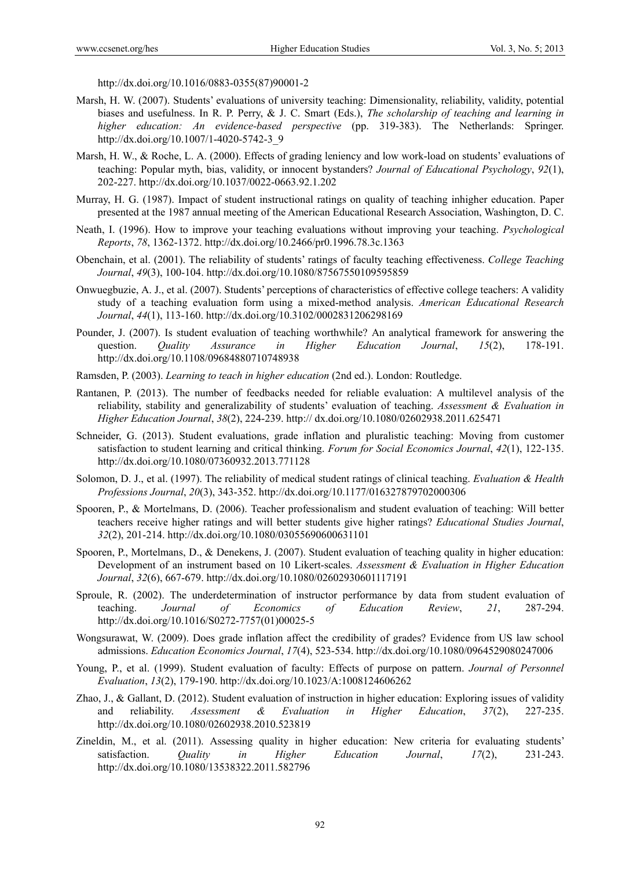http://dx.doi.org/10.1016/0883-0355(87)90001-2

- Marsh, H. W. (2007). Students' evaluations of university teaching: Dimensionality, reliability, validity, potential biases and usefulness. In R. P. Perry, & J. C. Smart (Eds.), *The scholarship of teaching and learning in higher education: An evidence-based perspective* (pp. 319-383). The Netherlands: Springer. http://dx.doi.org/10.1007/1-4020-5742-3\_9
- Marsh, H. W., & Roche, L. A. (2000). Effects of grading leniency and low work-load on students' evaluations of teaching: Popular myth, bias, validity, or innocent bystanders? *Journal of Educational Psychology*, *92*(1), 202-227. http://dx.doi.org/10.1037/0022-0663.92.1.202
- Murray, H. G. (1987). Impact of student instructional ratings on quality of teaching inhigher education. Paper presented at the 1987 annual meeting of the American Educational Research Association, Washington, D. C.
- Neath, I. (1996). How to improve your teaching evaluations without improving your teaching. *Psychological Reports*, *78*, 1362-1372. http://dx.doi.org/10.2466/pr0.1996.78.3c.1363
- Obenchain, et al. (2001). The reliability of students' ratings of faculty teaching effectiveness. *College Teaching Journal*, *49*(3), 100-104. http://dx.doi.org/10.1080/87567550109595859
- Onwuegbuzie, A. J., et al. (2007). Students' perceptions of characteristics of effective college teachers: A validity study of a teaching evaluation form using a mixed-method analysis. *American Educational Research Journal*, *44*(1), 113-160. http://dx.doi.org/10.3102/0002831206298169
- Pounder, J. (2007). Is student evaluation of teaching worthwhile? An analytical framework for answering the question. *Quality Assurance in Higher Education Journal*, *15*(2), 178-191. http://dx.doi.org/10.1108/09684880710748938
- Ramsden, P. (2003). *Learning to teach in higher education* (2nd ed.). London: Routledge.
- Rantanen, P. (2013). The number of feedbacks needed for reliable evaluation: A multilevel analysis of the reliability, stability and generalizability of students' evaluation of teaching. *Assessment & Evaluation in Higher Education Journal*, *38*(2), 224-239. http:// dx.doi.org/10.1080/02602938.2011.625471
- Schneider, G. (2013). Student evaluations, grade inflation and pluralistic teaching: Moving from customer satisfaction to student learning and critical thinking. *Forum for Social Economics Journal*, *42*(1), 122-135. http://dx.doi.org/10.1080/07360932.2013.771128
- Solomon, D. J., et al. (1997). The reliability of medical student ratings of clinical teaching. *Evaluation & Health Professions Journal*, *20*(3), 343-352. http://dx.doi.org/10.1177/016327879702000306
- Spooren, P., & Mortelmans, D. (2006). Teacher professionalism and student evaluation of teaching: Will better teachers receive higher ratings and will better students give higher ratings? *Educational Studies Journal*, *32*(2), 201-214. http://dx.doi.org/10.1080/03055690600631101
- Spooren, P., Mortelmans, D., & Denekens, J. (2007). Student evaluation of teaching quality in higher education: Development of an instrument based on 10 Likert-scales. *Assessment & Evaluation in Higher Education Journal*, *32*(6), 667-679. http://dx.doi.org/10.1080/02602930601117191
- Sproule, R. (2002). The underdetermination of instructor performance by data from student evaluation of teaching. *Journal of Economics of Education Review*, *21*, 287-294. http://dx.doi.org/10.1016/S0272-7757(01)00025-5
- Wongsurawat, W. (2009). Does grade inflation affect the credibility of grades? Evidence from US law school admissions. *Education Economics Journal*, *17*(4), 523-534. http://dx.doi.org/10.1080/0964529080247006
- Young, P., et al. (1999). Student evaluation of faculty: Effects of purpose on pattern. *Journal of Personnel Evaluation*, *13*(2), 179-190. http://dx.doi.org/10.1023/A:1008124606262
- Zhao, J., & Gallant, D. (2012). Student evaluation of instruction in higher education: Exploring issues of validity and reliability. *Assessment & Evaluation in Higher Education*, *37*(2), 227-235. http://dx.doi.org/10.1080/02602938.2010.523819
- Zineldin, M., et al. (2011). Assessing quality in higher education: New criteria for evaluating students' satisfaction. *Quality in Higher Education Journal*, *17*(2), 231-243. http://dx.doi.org/10.1080/13538322.2011.582796